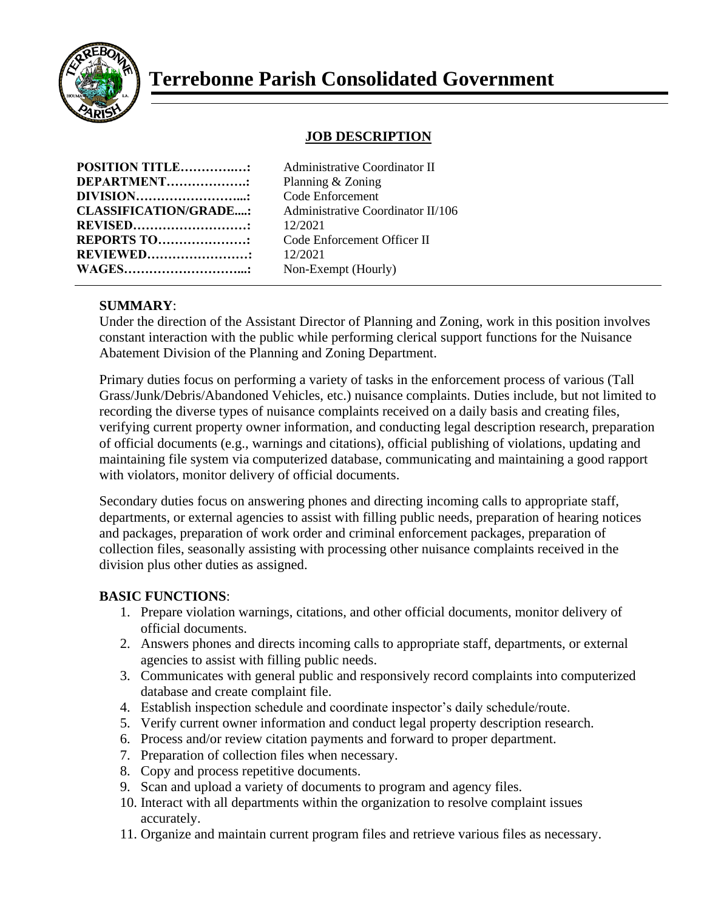

# **Terrebonne Parish Consolidated Government**

## **JOB DESCRIPTION**

| <b>POSITION TITLE:</b>       |  |
|------------------------------|--|
| <b>DEPARTMENT</b>            |  |
| <b>DIVISION</b>              |  |
| <b>CLASSIFICATION/GRADE:</b> |  |
| <b>REVISED</b> .             |  |
| <b>REPORTS TO:</b>           |  |
| <b>REVIEWED</b>              |  |
| <b>WAGES</b>                 |  |

**Administrative Coordinator II Planning & Zoning Code Enforcement CLASSIFICATION/GRADE....:** Administrative Coordinator II/106 **REVISED………………………:** 12/2021 **Code Enforcement Officer II REVIEWED……………………:** 12/2021 Non-Exempt (Hourly)

### **SUMMARY**:

Under the direction of the Assistant Director of Planning and Zoning, work in this position involves constant interaction with the public while performing clerical support functions for the Nuisance Abatement Division of the Planning and Zoning Department.

Primary duties focus on performing a variety of tasks in the enforcement process of various (Tall Grass/Junk/Debris/Abandoned Vehicles, etc.) nuisance complaints. Duties include, but not limited to recording the diverse types of nuisance complaints received on a daily basis and creating files, verifying current property owner information, and conducting legal description research, preparation of official documents (e.g., warnings and citations), official publishing of violations, updating and maintaining file system via computerized database, communicating and maintaining a good rapport with violators, monitor delivery of official documents.

Secondary duties focus on answering phones and directing incoming calls to appropriate staff, departments, or external agencies to assist with filling public needs, preparation of hearing notices and packages, preparation of work order and criminal enforcement packages, preparation of collection files, seasonally assisting with processing other nuisance complaints received in the division plus other duties as assigned.

#### **BASIC FUNCTIONS**:

- 1. Prepare violation warnings, citations, and other official documents, monitor delivery of official documents.
- 2. Answers phones and directs incoming calls to appropriate staff, departments, or external agencies to assist with filling public needs.
- 3. Communicates with general public and responsively record complaints into computerized database and create complaint file.
- 4. Establish inspection schedule and coordinate inspector's daily schedule/route.
- 5. Verify current owner information and conduct legal property description research.
- 6. Process and/or review citation payments and forward to proper department.
- 7. Preparation of collection files when necessary.
- 8. Copy and process repetitive documents.
- 9. Scan and upload a variety of documents to program and agency files.
- 10. Interact with all departments within the organization to resolve complaint issues accurately.
- 11. Organize and maintain current program files and retrieve various files as necessary.